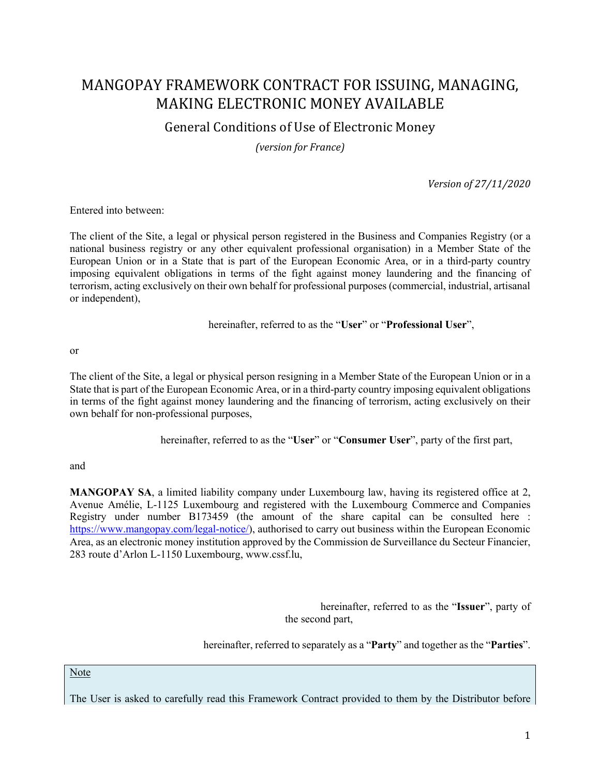# MANGOPAY FRAMEWORK CONTRACT FOR ISSUING, MANAGING, MAKING ELECTRONIC MONEY AVAILABLE

## General Conditions of Use of Electronic Money

*(version for France)*

*Version of 27/11/2020*

Entered into between:

The client of the Site, a legal or physical person registered in the Business and Companies Registry (or a national business registry or any other equivalent professional organisation) in a Member State of the European Union or in a State that is part of the European Economic Area, or in a third-party country imposing equivalent obligations in terms of the fight against money laundering and the financing of terrorism, acting exclusively on their own behalf for professional purposes (commercial, industrial, artisanal or independent),

hereinafter, referred to as the "**User**" or "**Professional User**",

or

The client of the Site, a legal or physical person resigning in a Member State of the European Union or in a State that is part of the European Economic Area, or in a third-party country imposing equivalent obligations in terms of the fight against money laundering and the financing of terrorism, acting exclusively on their own behalf for non-professional purposes,

hereinafter, referred to as the "**User**" or "**Consumer User**", party of the first part,

and

**MANGOPAY SA**, a limited liability company under Luxembourg law, having its registered office at 2, Avenue Amélie, L-1125 Luxembourg and registered with the Luxembourg Commerce and Companies Registry under number B173459 (the amount of the share capital can be consulted here : https://www.mangopay.com/legal-notice/), authorised to carry out business within the European Economic Area, as an electronic money institution approved by the Commission de Surveillance du Secteur Financier, 283 route d'Arlon L-1150 Luxembourg, www.cssf.lu,

> hereinafter, referred to as the "**Issuer**", party of the second part,

hereinafter, referred to separately as a "**Party**" and together as the "**Parties**".

Note

The User is asked to carefully read this Framework Contract provided to them by the Distributor before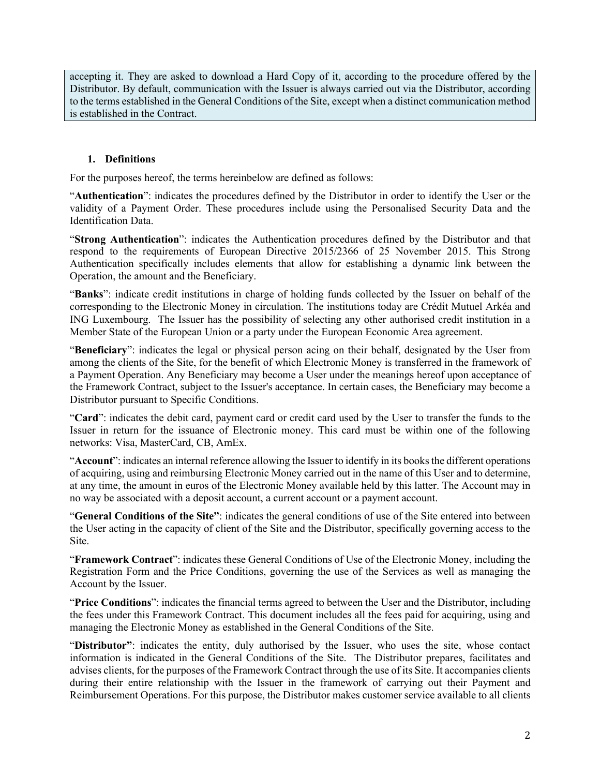accepting it. They are asked to download a Hard Copy of it, according to the procedure offered by the Distributor. By default, communication with the Issuer is always carried out via the Distributor, according to the terms established in the General Conditions of the Site, except when a distinct communication method is established in the Contract.

#### **1. Definitions**

For the purposes hereof, the terms hereinbelow are defined as follows:

"**Authentication**": indicates the procedures defined by the Distributor in order to identify the User or the validity of a Payment Order. These procedures include using the Personalised Security Data and the Identification Data.

"**Strong Authentication**": indicates the Authentication procedures defined by the Distributor and that respond to the requirements of European Directive 2015/2366 of 25 November 2015. This Strong Authentication specifically includes elements that allow for establishing a dynamic link between the Operation, the amount and the Beneficiary.

"**Banks**": indicate credit institutions in charge of holding funds collected by the Issuer on behalf of the corresponding to the Electronic Money in circulation. The institutions today are Crédit Mutuel Arkéa and ING Luxembourg. The Issuer has the possibility of selecting any other authorised credit institution in a Member State of the European Union or a party under the European Economic Area agreement.

"**Beneficiary**": indicates the legal or physical person acing on their behalf, designated by the User from among the clients of the Site, for the benefit of which Electronic Money is transferred in the framework of a Payment Operation. Any Beneficiary may become a User under the meanings hereof upon acceptance of the Framework Contract, subject to the Issuer's acceptance. In certain cases, the Beneficiary may become a Distributor pursuant to Specific Conditions.

"**Card**": indicates the debit card, payment card or credit card used by the User to transfer the funds to the Issuer in return for the issuance of Electronic money. This card must be within one of the following networks: Visa, MasterCard, CB, AmEx.

"**Account**": indicates an internal reference allowing the Issuer to identify in its books the different operations of acquiring, using and reimbursing Electronic Money carried out in the name of this User and to determine, at any time, the amount in euros of the Electronic Money available held by this latter. The Account may in no way be associated with a deposit account, a current account or a payment account.

"**General Conditions of the Site"**: indicates the general conditions of use of the Site entered into between the User acting in the capacity of client of the Site and the Distributor, specifically governing access to the Site.

"**Framework Contract**": indicates these General Conditions of Use of the Electronic Money, including the Registration Form and the Price Conditions, governing the use of the Services as well as managing the Account by the Issuer.

"**Price Conditions**": indicates the financial terms agreed to between the User and the Distributor, including the fees under this Framework Contract. This document includes all the fees paid for acquiring, using and managing the Electronic Money as established in the General Conditions of the Site.

"**Distributor"**: indicates the entity, duly authorised by the Issuer, who uses the site, whose contact information is indicated in the General Conditions of the Site. The Distributor prepares, facilitates and advises clients, for the purposes of the Framework Contract through the use of its Site. It accompanies clients during their entire relationship with the Issuer in the framework of carrying out their Payment and Reimbursement Operations. For this purpose, the Distributor makes customer service available to all clients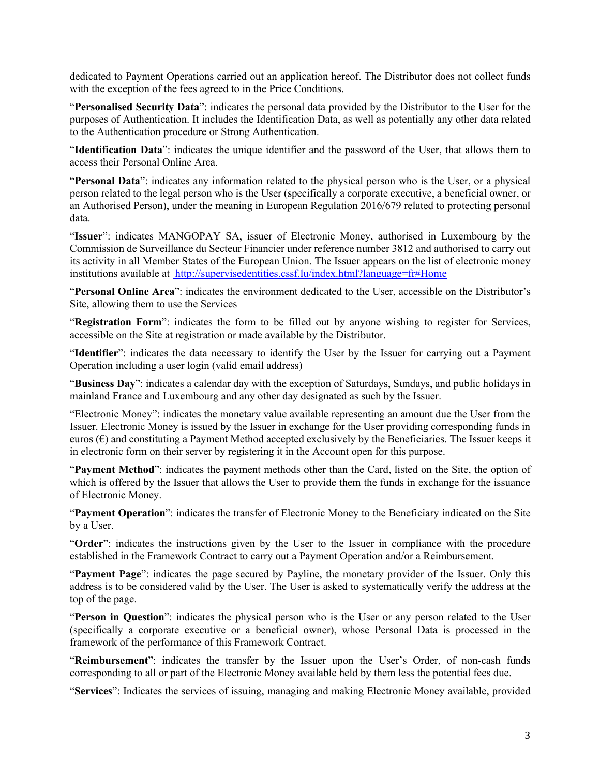dedicated to Payment Operations carried out an application hereof. The Distributor does not collect funds with the exception of the fees agreed to in the Price Conditions.

"**Personalised Security Data**": indicates the personal data provided by the Distributor to the User for the purposes of Authentication. It includes the Identification Data, as well as potentially any other data related to the Authentication procedure or Strong Authentication.

"**Identification Data**": indicates the unique identifier and the password of the User, that allows them to access their Personal Online Area.

"**Personal Data**": indicates any information related to the physical person who is the User, or a physical person related to the legal person who is the User (specifically a corporate executive, a beneficial owner, or an Authorised Person), under the meaning in European Regulation 2016/679 related to protecting personal data.

"**Issuer**": indicates MANGOPAY SA, issuer of Electronic Money, authorised in Luxembourg by the Commission de Surveillance du Secteur Financier under reference number 3812 and authorised to carry out its activity in all Member States of the European Union. The Issuer appears on the list of electronic money institutions available at http://supervisedentities.cssf.lu/index.html?language=fr#Home

"**Personal Online Area**": indicates the environment dedicated to the User, accessible on the Distributor's Site, allowing them to use the Services

"**Registration Form**": indicates the form to be filled out by anyone wishing to register for Services, accessible on the Site at registration or made available by the Distributor.

"**Identifier**": indicates the data necessary to identify the User by the Issuer for carrying out a Payment Operation including a user login (valid email address)

"**Business Day**": indicates a calendar day with the exception of Saturdays, Sundays, and public holidays in mainland France and Luxembourg and any other day designated as such by the Issuer.

"Electronic Money": indicates the monetary value available representing an amount due the User from the Issuer. Electronic Money is issued by the Issuer in exchange for the User providing corresponding funds in euros  $(\epsilon)$  and constituting a Payment Method accepted exclusively by the Beneficiaries. The Issuer keeps it in electronic form on their server by registering it in the Account open for this purpose.

"**Payment Method**": indicates the payment methods other than the Card, listed on the Site, the option of which is offered by the Issuer that allows the User to provide them the funds in exchange for the issuance of Electronic Money.

"**Payment Operation**": indicates the transfer of Electronic Money to the Beneficiary indicated on the Site by a User.

"**Order**": indicates the instructions given by the User to the Issuer in compliance with the procedure established in the Framework Contract to carry out a Payment Operation and/or a Reimbursement.

"**Payment Page**": indicates the page secured by Payline, the monetary provider of the Issuer. Only this address is to be considered valid by the User. The User is asked to systematically verify the address at the top of the page.

"**Person in Question**": indicates the physical person who is the User or any person related to the User (specifically a corporate executive or a beneficial owner), whose Personal Data is processed in the framework of the performance of this Framework Contract.

"**Reimbursement**": indicates the transfer by the Issuer upon the User's Order, of non-cash funds corresponding to all or part of the Electronic Money available held by them less the potential fees due.

"**Services**": Indicates the services of issuing, managing and making Electronic Money available, provided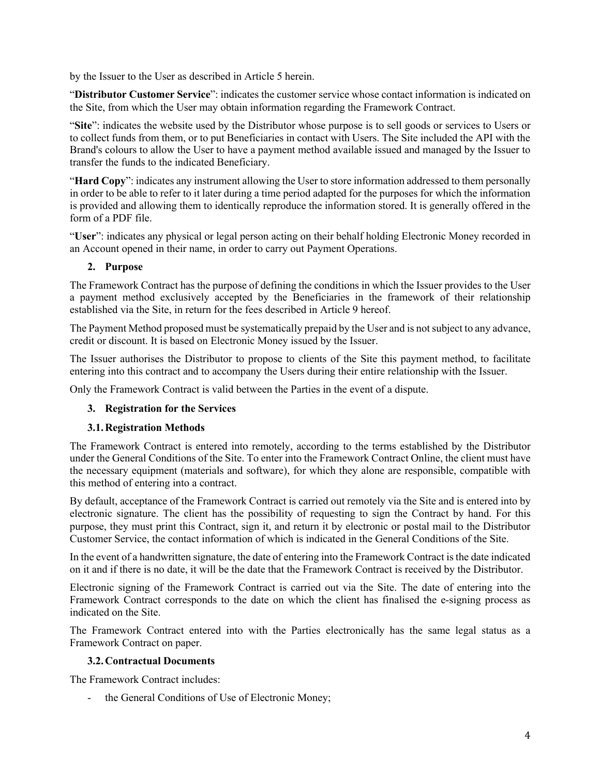by the Issuer to the User as described in Article 5 herein.

"**Distributor Customer Service**": indicates the customer service whose contact information is indicated on the Site, from which the User may obtain information regarding the Framework Contract.

"Site": indicates the website used by the Distributor whose purpose is to sell goods or services to Users or to collect funds from them, or to put Beneficiaries in contact with Users. The Site included the API with the Brand's colours to allow the User to have a payment method available issued and managed by the Issuer to transfer the funds to the indicated Beneficiary.

"**Hard Copy**": indicates any instrument allowing the User to store information addressed to them personally in order to be able to refer to it later during a time period adapted for the purposes for which the information is provided and allowing them to identically reproduce the information stored. It is generally offered in the form of a PDF file.

"**User**": indicates any physical or legal person acting on their behalf holding Electronic Money recorded in an Account opened in their name, in order to carry out Payment Operations.

## **2. Purpose**

The Framework Contract has the purpose of defining the conditions in which the Issuer provides to the User a payment method exclusively accepted by the Beneficiaries in the framework of their relationship established via the Site, in return for the fees described in Article 9 hereof.

The Payment Method proposed must be systematically prepaid by the User and is not subject to any advance, credit or discount. It is based on Electronic Money issued by the Issuer.

The Issuer authorises the Distributor to propose to clients of the Site this payment method, to facilitate entering into this contract and to accompany the Users during their entire relationship with the Issuer.

Only the Framework Contract is valid between the Parties in the event of a dispute.

## **3. Registration for the Services**

## **3.1.Registration Methods**

The Framework Contract is entered into remotely, according to the terms established by the Distributor under the General Conditions of the Site. To enter into the Framework Contract Online, the client must have the necessary equipment (materials and software), for which they alone are responsible, compatible with this method of entering into a contract.

By default, acceptance of the Framework Contract is carried out remotely via the Site and is entered into by electronic signature. The client has the possibility of requesting to sign the Contract by hand. For this purpose, they must print this Contract, sign it, and return it by electronic or postal mail to the Distributor Customer Service, the contact information of which is indicated in the General Conditions of the Site.

In the event of a handwritten signature, the date of entering into the Framework Contract is the date indicated on it and if there is no date, it will be the date that the Framework Contract is received by the Distributor.

Electronic signing of the Framework Contract is carried out via the Site. The date of entering into the Framework Contract corresponds to the date on which the client has finalised the e-signing process as indicated on the Site.

The Framework Contract entered into with the Parties electronically has the same legal status as a Framework Contract on paper.

#### **3.2.Contractual Documents**

The Framework Contract includes:

the General Conditions of Use of Electronic Money;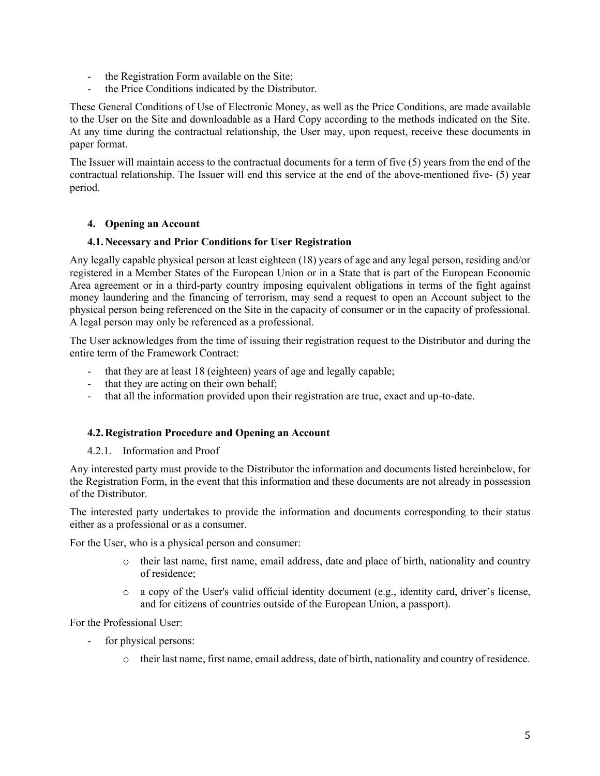- the Registration Form available on the Site;
- the Price Conditions indicated by the Distributor.

These General Conditions of Use of Electronic Money, as well as the Price Conditions, are made available to the User on the Site and downloadable as a Hard Copy according to the methods indicated on the Site. At any time during the contractual relationship, the User may, upon request, receive these documents in paper format.

The Issuer will maintain access to the contractual documents for a term of five (5) years from the end of the contractual relationship. The Issuer will end this service at the end of the above-mentioned five- (5) year period.

## **4. Opening an Account**

#### **4.1.Necessary and Prior Conditions for User Registration**

Any legally capable physical person at least eighteen (18) years of age and any legal person, residing and/or registered in a Member States of the European Union or in a State that is part of the European Economic Area agreement or in a third-party country imposing equivalent obligations in terms of the fight against money laundering and the financing of terrorism, may send a request to open an Account subject to the physical person being referenced on the Site in the capacity of consumer or in the capacity of professional. A legal person may only be referenced as a professional.

The User acknowledges from the time of issuing their registration request to the Distributor and during the entire term of the Framework Contract:

- that they are at least 18 (eighteen) years of age and legally capable;
- that they are acting on their own behalf;
- that all the information provided upon their registration are true, exact and up-to-date.

#### **4.2.Registration Procedure and Opening an Account**

4.2.1. Information and Proof

Any interested party must provide to the Distributor the information and documents listed hereinbelow, for the Registration Form, in the event that this information and these documents are not already in possession of the Distributor.

The interested party undertakes to provide the information and documents corresponding to their status either as a professional or as a consumer.

For the User, who is a physical person and consumer:

- o their last name, first name, email address, date and place of birth, nationality and country of residence;
- o a copy of the User's valid official identity document (e.g., identity card, driver's license, and for citizens of countries outside of the European Union, a passport).

For the Professional User:

- for physical persons:
	- o their last name, first name, email address, date of birth, nationality and country of residence.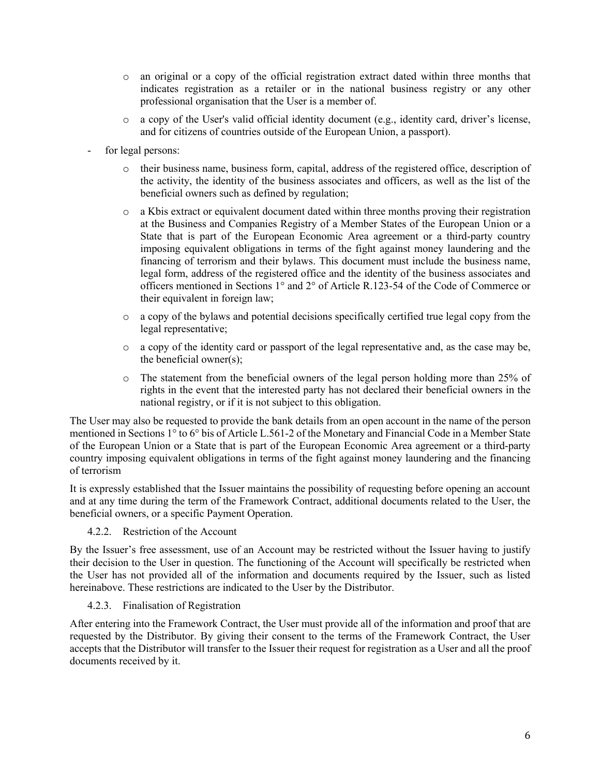- o an original or a copy of the official registration extract dated within three months that indicates registration as a retailer or in the national business registry or any other professional organisation that the User is a member of.
- o a copy of the User's valid official identity document (e.g., identity card, driver's license, and for citizens of countries outside of the European Union, a passport).
- for legal persons:
	- o their business name, business form, capital, address of the registered office, description of the activity, the identity of the business associates and officers, as well as the list of the beneficial owners such as defined by regulation;
	- $\circ$  a Kbis extract or equivalent document dated within three months proving their registration at the Business and Companies Registry of a Member States of the European Union or a State that is part of the European Economic Area agreement or a third-party country imposing equivalent obligations in terms of the fight against money laundering and the financing of terrorism and their bylaws. This document must include the business name, legal form, address of the registered office and the identity of the business associates and officers mentioned in Sections 1° and 2° of Article R.123-54 of the Code of Commerce or their equivalent in foreign law;
	- o a copy of the bylaws and potential decisions specifically certified true legal copy from the legal representative;
	- o a copy of the identity card or passport of the legal representative and, as the case may be, the beneficial owner(s);
	- $\circ$  The statement from the beneficial owners of the legal person holding more than 25% of rights in the event that the interested party has not declared their beneficial owners in the national registry, or if it is not subject to this obligation.

The User may also be requested to provide the bank details from an open account in the name of the person mentioned in Sections 1° to 6° bis of Article L.561-2 of the Monetary and Financial Code in a Member State of the European Union or a State that is part of the European Economic Area agreement or a third-party country imposing equivalent obligations in terms of the fight against money laundering and the financing of terrorism

It is expressly established that the Issuer maintains the possibility of requesting before opening an account and at any time during the term of the Framework Contract, additional documents related to the User, the beneficial owners, or a specific Payment Operation.

4.2.2. Restriction of the Account

By the Issuer's free assessment, use of an Account may be restricted without the Issuer having to justify their decision to the User in question. The functioning of the Account will specifically be restricted when the User has not provided all of the information and documents required by the Issuer, such as listed hereinabove. These restrictions are indicated to the User by the Distributor.

#### 4.2.3. Finalisation of Registration

After entering into the Framework Contract, the User must provide all of the information and proof that are requested by the Distributor. By giving their consent to the terms of the Framework Contract, the User accepts that the Distributor will transfer to the Issuer their request for registration as a User and all the proof documents received by it.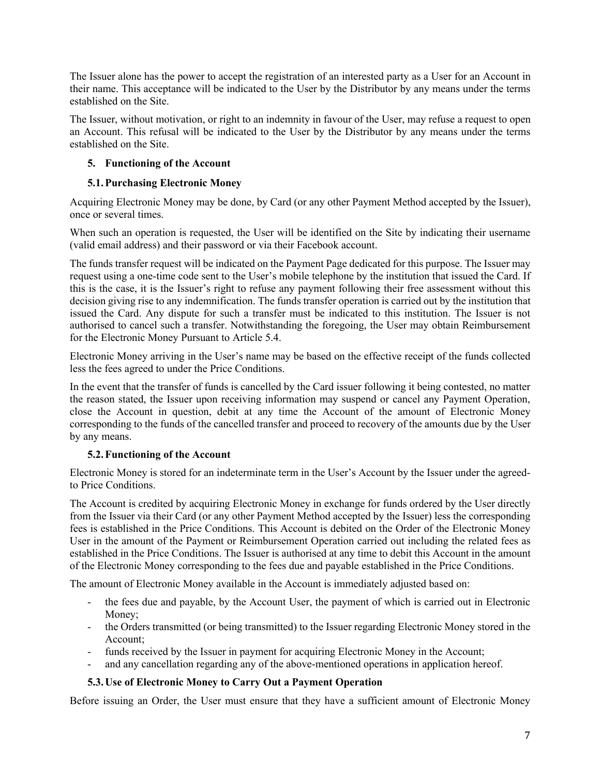The Issuer alone has the power to accept the registration of an interested party as a User for an Account in their name. This acceptance will be indicated to the User by the Distributor by any means under the terms established on the Site.

The Issuer, without motivation, or right to an indemnity in favour of the User, may refuse a request to open an Account. This refusal will be indicated to the User by the Distributor by any means under the terms established on the Site.

## **5. Functioning of the Account**

## **5.1.Purchasing Electronic Money**

Acquiring Electronic Money may be done, by Card (or any other Payment Method accepted by the Issuer), once or several times.

When such an operation is requested, the User will be identified on the Site by indicating their username (valid email address) and their password or via their Facebook account.

The funds transfer request will be indicated on the Payment Page dedicated for this purpose. The Issuer may request using a one-time code sent to the User's mobile telephone by the institution that issued the Card. If this is the case, it is the Issuer's right to refuse any payment following their free assessment without this decision giving rise to any indemnification. The funds transfer operation is carried out by the institution that issued the Card. Any dispute for such a transfer must be indicated to this institution. The Issuer is not authorised to cancel such a transfer. Notwithstanding the foregoing, the User may obtain Reimbursement for the Electronic Money Pursuant to Article 5.4.

Electronic Money arriving in the User's name may be based on the effective receipt of the funds collected less the fees agreed to under the Price Conditions.

In the event that the transfer of funds is cancelled by the Card issuer following it being contested, no matter the reason stated, the Issuer upon receiving information may suspend or cancel any Payment Operation, close the Account in question, debit at any time the Account of the amount of Electronic Money corresponding to the funds of the cancelled transfer and proceed to recovery of the amounts due by the User by any means.

## **5.2.Functioning of the Account**

Electronic Money is stored for an indeterminate term in the User's Account by the Issuer under the agreedto Price Conditions.

The Account is credited by acquiring Electronic Money in exchange for funds ordered by the User directly from the Issuer via their Card (or any other Payment Method accepted by the Issuer) less the corresponding fees is established in the Price Conditions. This Account is debited on the Order of the Electronic Money User in the amount of the Payment or Reimbursement Operation carried out including the related fees as established in the Price Conditions. The Issuer is authorised at any time to debit this Account in the amount of the Electronic Money corresponding to the fees due and payable established in the Price Conditions.

The amount of Electronic Money available in the Account is immediately adjusted based on:

- the fees due and payable, by the Account User, the payment of which is carried out in Electronic Money;
- the Orders transmitted (or being transmitted) to the Issuer regarding Electronic Money stored in the Account;
- funds received by the Issuer in payment for acquiring Electronic Money in the Account;
- and any cancellation regarding any of the above-mentioned operations in application hereof.

## **5.3.Use of Electronic Money to Carry Out a Payment Operation**

Before issuing an Order, the User must ensure that they have a sufficient amount of Electronic Money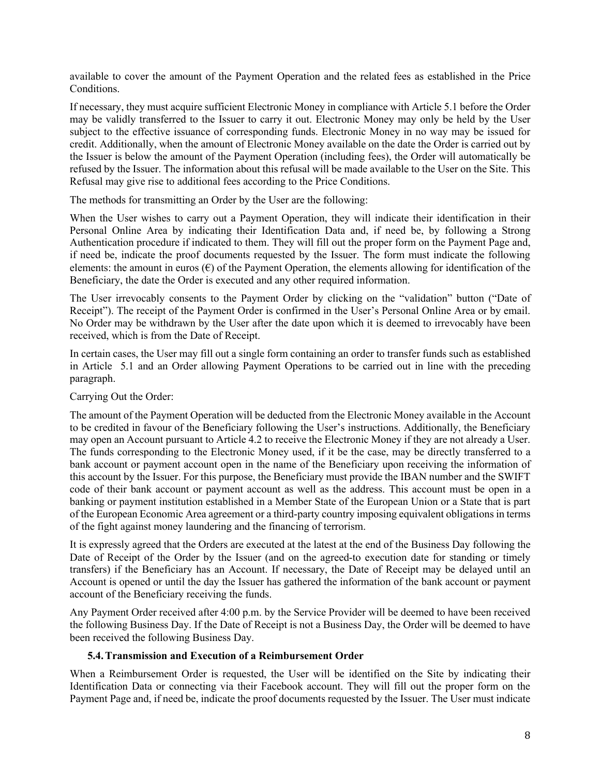available to cover the amount of the Payment Operation and the related fees as established in the Price Conditions.

If necessary, they must acquire sufficient Electronic Money in compliance with Article 5.1 before the Order may be validly transferred to the Issuer to carry it out. Electronic Money may only be held by the User subject to the effective issuance of corresponding funds. Electronic Money in no way may be issued for credit. Additionally, when the amount of Electronic Money available on the date the Order is carried out by the Issuer is below the amount of the Payment Operation (including fees), the Order will automatically be refused by the Issuer. The information about this refusal will be made available to the User on the Site. This Refusal may give rise to additional fees according to the Price Conditions.

The methods for transmitting an Order by the User are the following:

When the User wishes to carry out a Payment Operation, they will indicate their identification in their Personal Online Area by indicating their Identification Data and, if need be, by following a Strong Authentication procedure if indicated to them. They will fill out the proper form on the Payment Page and, if need be, indicate the proof documents requested by the Issuer. The form must indicate the following elements: the amount in euros  $(\epsilon)$  of the Payment Operation, the elements allowing for identification of the Beneficiary, the date the Order is executed and any other required information.

The User irrevocably consents to the Payment Order by clicking on the "validation" button ("Date of Receipt"). The receipt of the Payment Order is confirmed in the User's Personal Online Area or by email. No Order may be withdrawn by the User after the date upon which it is deemed to irrevocably have been received, which is from the Date of Receipt.

In certain cases, the User may fill out a single form containing an order to transfer funds such as established in Article 5.1 and an Order allowing Payment Operations to be carried out in line with the preceding paragraph.

## Carrying Out the Order:

The amount of the Payment Operation will be deducted from the Electronic Money available in the Account to be credited in favour of the Beneficiary following the User's instructions. Additionally, the Beneficiary may open an Account pursuant to Article 4.2 to receive the Electronic Money if they are not already a User. The funds corresponding to the Electronic Money used, if it be the case, may be directly transferred to a bank account or payment account open in the name of the Beneficiary upon receiving the information of this account by the Issuer. For this purpose, the Beneficiary must provide the IBAN number and the SWIFT code of their bank account or payment account as well as the address. This account must be open in a banking or payment institution established in a Member State of the European Union or a State that is part of the European Economic Area agreement or a third-party country imposing equivalent obligations in terms of the fight against money laundering and the financing of terrorism.

It is expressly agreed that the Orders are executed at the latest at the end of the Business Day following the Date of Receipt of the Order by the Issuer (and on the agreed-to execution date for standing or timely transfers) if the Beneficiary has an Account. If necessary, the Date of Receipt may be delayed until an Account is opened or until the day the Issuer has gathered the information of the bank account or payment account of the Beneficiary receiving the funds.

Any Payment Order received after 4:00 p.m. by the Service Provider will be deemed to have been received the following Business Day. If the Date of Receipt is not a Business Day, the Order will be deemed to have been received the following Business Day.

## **5.4.Transmission and Execution of a Reimbursement Order**

When a Reimbursement Order is requested, the User will be identified on the Site by indicating their Identification Data or connecting via their Facebook account. They will fill out the proper form on the Payment Page and, if need be, indicate the proof documents requested by the Issuer. The User must indicate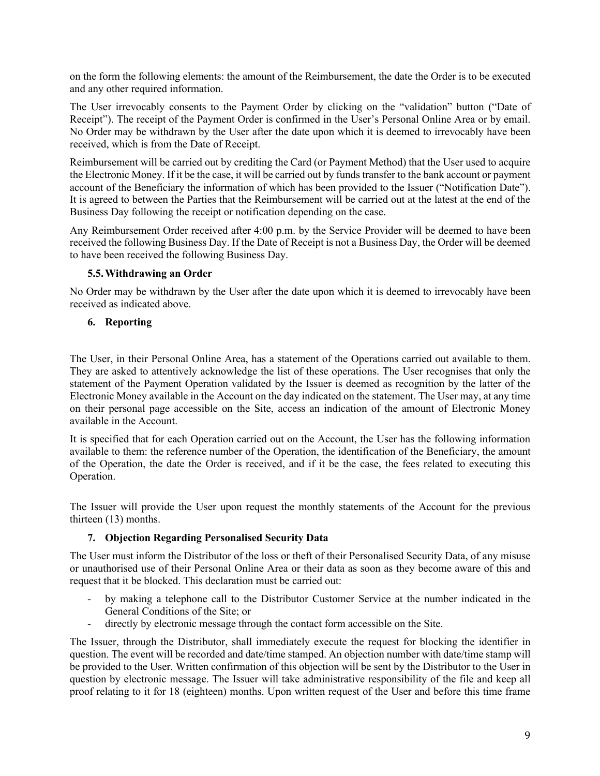on the form the following elements: the amount of the Reimbursement, the date the Order is to be executed and any other required information.

The User irrevocably consents to the Payment Order by clicking on the "validation" button ("Date of Receipt"). The receipt of the Payment Order is confirmed in the User's Personal Online Area or by email. No Order may be withdrawn by the User after the date upon which it is deemed to irrevocably have been received, which is from the Date of Receipt.

Reimbursement will be carried out by crediting the Card (or Payment Method) that the User used to acquire the Electronic Money. If it be the case, it will be carried out by funds transfer to the bank account or payment account of the Beneficiary the information of which has been provided to the Issuer ("Notification Date"). It is agreed to between the Parties that the Reimbursement will be carried out at the latest at the end of the Business Day following the receipt or notification depending on the case.

Any Reimbursement Order received after 4:00 p.m. by the Service Provider will be deemed to have been received the following Business Day. If the Date of Receipt is not a Business Day, the Order will be deemed to have been received the following Business Day.

#### **5.5.Withdrawing an Order**

No Order may be withdrawn by the User after the date upon which it is deemed to irrevocably have been received as indicated above.

#### **6. Reporting**

The User, in their Personal Online Area, has a statement of the Operations carried out available to them. They are asked to attentively acknowledge the list of these operations. The User recognises that only the statement of the Payment Operation validated by the Issuer is deemed as recognition by the latter of the Electronic Money available in the Account on the day indicated on the statement. The User may, at any time on their personal page accessible on the Site, access an indication of the amount of Electronic Money available in the Account.

It is specified that for each Operation carried out on the Account, the User has the following information available to them: the reference number of the Operation, the identification of the Beneficiary, the amount of the Operation, the date the Order is received, and if it be the case, the fees related to executing this Operation.

The Issuer will provide the User upon request the monthly statements of the Account for the previous thirteen (13) months.

## **7. Objection Regarding Personalised Security Data**

The User must inform the Distributor of the loss or theft of their Personalised Security Data, of any misuse or unauthorised use of their Personal Online Area or their data as soon as they become aware of this and request that it be blocked. This declaration must be carried out:

- by making a telephone call to the Distributor Customer Service at the number indicated in the General Conditions of the Site; or
- directly by electronic message through the contact form accessible on the Site.

The Issuer, through the Distributor, shall immediately execute the request for blocking the identifier in question. The event will be recorded and date/time stamped. An objection number with date/time stamp will be provided to the User. Written confirmation of this objection will be sent by the Distributor to the User in question by electronic message. The Issuer will take administrative responsibility of the file and keep all proof relating to it for 18 (eighteen) months. Upon written request of the User and before this time frame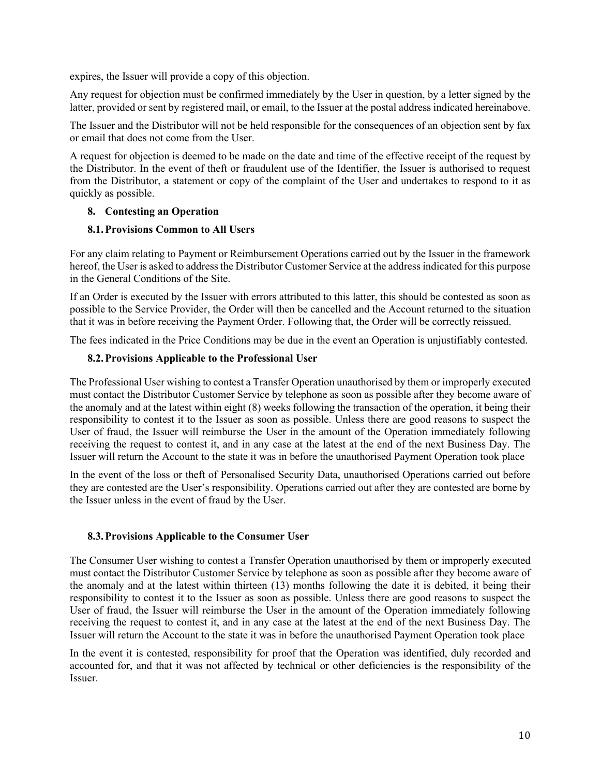expires, the Issuer will provide a copy of this objection.

Any request for objection must be confirmed immediately by the User in question, by a letter signed by the latter, provided or sent by registered mail, or email, to the Issuer at the postal address indicated hereinabove.

The Issuer and the Distributor will not be held responsible for the consequences of an objection sent by fax or email that does not come from the User.

A request for objection is deemed to be made on the date and time of the effective receipt of the request by the Distributor. In the event of theft or fraudulent use of the Identifier, the Issuer is authorised to request from the Distributor, a statement or copy of the complaint of the User and undertakes to respond to it as quickly as possible.

## **8. Contesting an Operation**

## **8.1.Provisions Common to All Users**

For any claim relating to Payment or Reimbursement Operations carried out by the Issuer in the framework hereof, the User is asked to address the Distributor Customer Service at the address indicated for this purpose in the General Conditions of the Site.

If an Order is executed by the Issuer with errors attributed to this latter, this should be contested as soon as possible to the Service Provider, the Order will then be cancelled and the Account returned to the situation that it was in before receiving the Payment Order. Following that, the Order will be correctly reissued.

The fees indicated in the Price Conditions may be due in the event an Operation is unjustifiably contested.

## **8.2.Provisions Applicable to the Professional User**

The Professional User wishing to contest a Transfer Operation unauthorised by them or improperly executed must contact the Distributor Customer Service by telephone as soon as possible after they become aware of the anomaly and at the latest within eight (8) weeks following the transaction of the operation, it being their responsibility to contest it to the Issuer as soon as possible. Unless there are good reasons to suspect the User of fraud, the Issuer will reimburse the User in the amount of the Operation immediately following receiving the request to contest it, and in any case at the latest at the end of the next Business Day. The Issuer will return the Account to the state it was in before the unauthorised Payment Operation took place

In the event of the loss or theft of Personalised Security Data, unauthorised Operations carried out before they are contested are the User's responsibility. Operations carried out after they are contested are borne by the Issuer unless in the event of fraud by the User.

## **8.3.Provisions Applicable to the Consumer User**

The Consumer User wishing to contest a Transfer Operation unauthorised by them or improperly executed must contact the Distributor Customer Service by telephone as soon as possible after they become aware of the anomaly and at the latest within thirteen (13) months following the date it is debited, it being their responsibility to contest it to the Issuer as soon as possible. Unless there are good reasons to suspect the User of fraud, the Issuer will reimburse the User in the amount of the Operation immediately following receiving the request to contest it, and in any case at the latest at the end of the next Business Day. The Issuer will return the Account to the state it was in before the unauthorised Payment Operation took place

In the event it is contested, responsibility for proof that the Operation was identified, duly recorded and accounted for, and that it was not affected by technical or other deficiencies is the responsibility of the Issuer.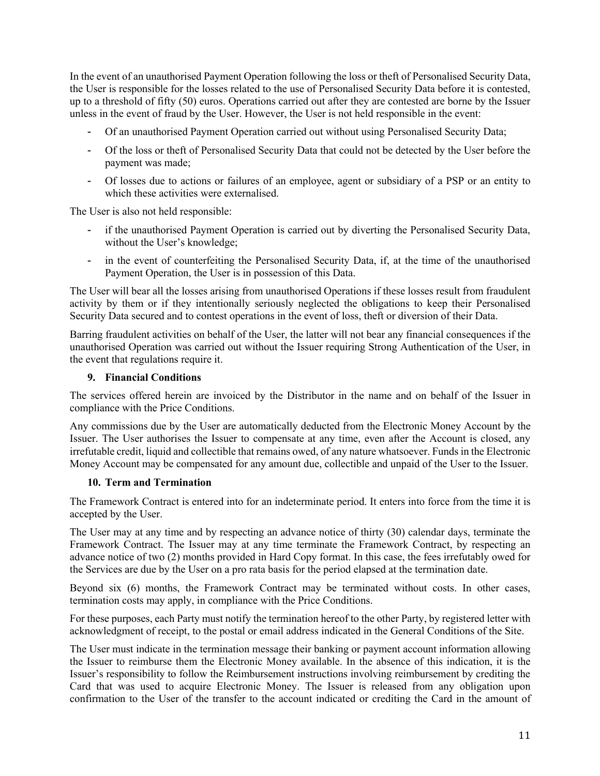In the event of an unauthorised Payment Operation following the loss or theft of Personalised Security Data, the User is responsible for the losses related to the use of Personalised Security Data before it is contested, up to a threshold of fifty (50) euros. Operations carried out after they are contested are borne by the Issuer unless in the event of fraud by the User. However, the User is not held responsible in the event:

- Of an unauthorised Payment Operation carried out without using Personalised Security Data;
- Of the loss or theft of Personalised Security Data that could not be detected by the User before the payment was made;
- Of losses due to actions or failures of an employee, agent or subsidiary of a PSP or an entity to which these activities were externalised.

The User is also not held responsible:

- if the unauthorised Payment Operation is carried out by diverting the Personalised Security Data, without the User's knowledge;
- in the event of counterfeiting the Personalised Security Data, if, at the time of the unauthorised Payment Operation, the User is in possession of this Data.

The User will bear all the losses arising from unauthorised Operations if these losses result from fraudulent activity by them or if they intentionally seriously neglected the obligations to keep their Personalised Security Data secured and to contest operations in the event of loss, theft or diversion of their Data.

Barring fraudulent activities on behalf of the User, the latter will not bear any financial consequences if the unauthorised Operation was carried out without the Issuer requiring Strong Authentication of the User, in the event that regulations require it.

## **9. Financial Conditions**

The services offered herein are invoiced by the Distributor in the name and on behalf of the Issuer in compliance with the Price Conditions.

Any commissions due by the User are automatically deducted from the Electronic Money Account by the Issuer. The User authorises the Issuer to compensate at any time, even after the Account is closed, any irrefutable credit, liquid and collectible that remains owed, of any nature whatsoever. Funds in the Electronic Money Account may be compensated for any amount due, collectible and unpaid of the User to the Issuer.

## **10. Term and Termination**

The Framework Contract is entered into for an indeterminate period. It enters into force from the time it is accepted by the User.

The User may at any time and by respecting an advance notice of thirty (30) calendar days, terminate the Framework Contract. The Issuer may at any time terminate the Framework Contract, by respecting an advance notice of two (2) months provided in Hard Copy format. In this case, the fees irrefutably owed for the Services are due by the User on a pro rata basis for the period elapsed at the termination date.

Beyond six (6) months, the Framework Contract may be terminated without costs. In other cases, termination costs may apply, in compliance with the Price Conditions.

For these purposes, each Party must notify the termination hereof to the other Party, by registered letter with acknowledgment of receipt, to the postal or email address indicated in the General Conditions of the Site.

The User must indicate in the termination message their banking or payment account information allowing the Issuer to reimburse them the Electronic Money available. In the absence of this indication, it is the Issuer's responsibility to follow the Reimbursement instructions involving reimbursement by crediting the Card that was used to acquire Electronic Money. The Issuer is released from any obligation upon confirmation to the User of the transfer to the account indicated or crediting the Card in the amount of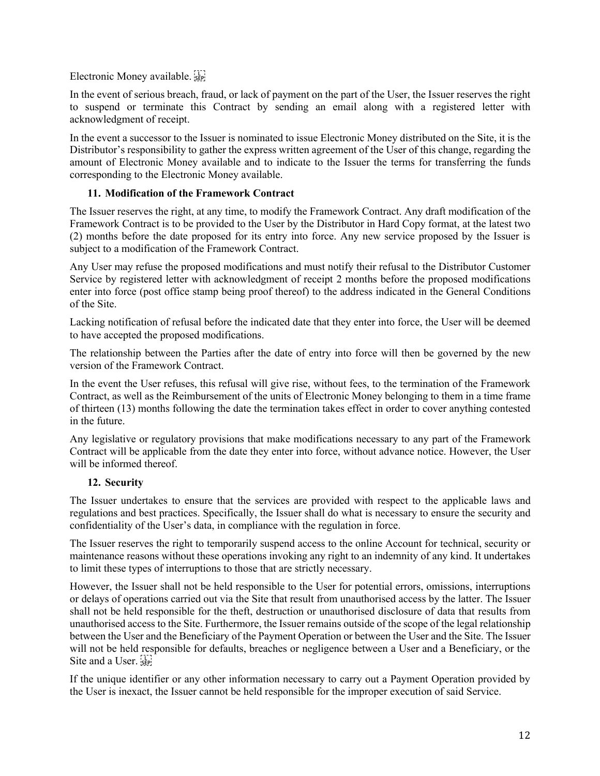Electronic Money available.

In the event of serious breach, fraud, or lack of payment on the part of the User, the Issuer reserves the right to suspend or terminate this Contract by sending an email along with a registered letter with acknowledgment of receipt.

In the event a successor to the Issuer is nominated to issue Electronic Money distributed on the Site, it is the Distributor's responsibility to gather the express written agreement of the User of this change, regarding the amount of Electronic Money available and to indicate to the Issuer the terms for transferring the funds corresponding to the Electronic Money available.

#### **11. Modification of the Framework Contract**

The Issuer reserves the right, at any time, to modify the Framework Contract. Any draft modification of the Framework Contract is to be provided to the User by the Distributor in Hard Copy format, at the latest two (2) months before the date proposed for its entry into force. Any new service proposed by the Issuer is subject to a modification of the Framework Contract.

Any User may refuse the proposed modifications and must notify their refusal to the Distributor Customer Service by registered letter with acknowledgment of receipt 2 months before the proposed modifications enter into force (post office stamp being proof thereof) to the address indicated in the General Conditions of the Site.

Lacking notification of refusal before the indicated date that they enter into force, the User will be deemed to have accepted the proposed modifications.

The relationship between the Parties after the date of entry into force will then be governed by the new version of the Framework Contract.

In the event the User refuses, this refusal will give rise, without fees, to the termination of the Framework Contract, as well as the Reimbursement of the units of Electronic Money belonging to them in a time frame of thirteen (13) months following the date the termination takes effect in order to cover anything contested in the future.

Any legislative or regulatory provisions that make modifications necessary to any part of the Framework Contract will be applicable from the date they enter into force, without advance notice. However, the User will be informed thereof.

## **12. Security**

The Issuer undertakes to ensure that the services are provided with respect to the applicable laws and regulations and best practices. Specifically, the Issuer shall do what is necessary to ensure the security and confidentiality of the User's data, in compliance with the regulation in force.

The Issuer reserves the right to temporarily suspend access to the online Account for technical, security or maintenance reasons without these operations invoking any right to an indemnity of any kind. It undertakes to limit these types of interruptions to those that are strictly necessary.

However, the Issuer shall not be held responsible to the User for potential errors, omissions, interruptions or delays of operations carried out via the Site that result from unauthorised access by the latter. The Issuer shall not be held responsible for the theft, destruction or unauthorised disclosure of data that results from unauthorised access to the Site. Furthermore, the Issuer remains outside of the scope of the legal relationship between the User and the Beneficiary of the Payment Operation or between the User and the Site. The Issuer will not be held responsible for defaults, breaches or negligence between a User and a Beneficiary, or the Site and a User.

If the unique identifier or any other information necessary to carry out a Payment Operation provided by the User is inexact, the Issuer cannot be held responsible for the improper execution of said Service.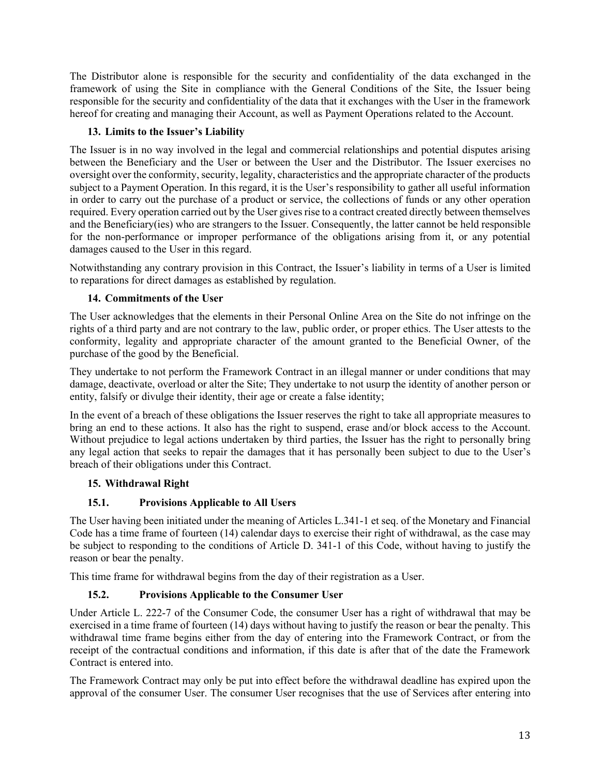The Distributor alone is responsible for the security and confidentiality of the data exchanged in the framework of using the Site in compliance with the General Conditions of the Site, the Issuer being responsible for the security and confidentiality of the data that it exchanges with the User in the framework hereof for creating and managing their Account, as well as Payment Operations related to the Account.

## **13. Limits to the Issuer's Liability**

The Issuer is in no way involved in the legal and commercial relationships and potential disputes arising between the Beneficiary and the User or between the User and the Distributor. The Issuer exercises no oversight over the conformity, security, legality, characteristics and the appropriate character of the products subject to a Payment Operation. In this regard, it is the User's responsibility to gather all useful information in order to carry out the purchase of a product or service, the collections of funds or any other operation required. Every operation carried out by the User gives rise to a contract created directly between themselves and the Beneficiary(ies) who are strangers to the Issuer. Consequently, the latter cannot be held responsible for the non-performance or improper performance of the obligations arising from it, or any potential damages caused to the User in this regard.

Notwithstanding any contrary provision in this Contract, the Issuer's liability in terms of a User is limited to reparations for direct damages as established by regulation.

## **14. Commitments of the User**

The User acknowledges that the elements in their Personal Online Area on the Site do not infringe on the rights of a third party and are not contrary to the law, public order, or proper ethics. The User attests to the conformity, legality and appropriate character of the amount granted to the Beneficial Owner, of the purchase of the good by the Beneficial.

They undertake to not perform the Framework Contract in an illegal manner or under conditions that may damage, deactivate, overload or alter the Site; They undertake to not usurp the identity of another person or entity, falsify or divulge their identity, their age or create a false identity;

In the event of a breach of these obligations the Issuer reserves the right to take all appropriate measures to bring an end to these actions. It also has the right to suspend, erase and/or block access to the Account. Without prejudice to legal actions undertaken by third parties, the Issuer has the right to personally bring any legal action that seeks to repair the damages that it has personally been subject to due to the User's breach of their obligations under this Contract.

## **15. Withdrawal Right**

## **15.1. Provisions Applicable to All Users**

The User having been initiated under the meaning of Articles L.341-1 et seq. of the Monetary and Financial Code has a time frame of fourteen (14) calendar days to exercise their right of withdrawal, as the case may be subject to responding to the conditions of Article D. 341-1 of this Code, without having to justify the reason or bear the penalty.

This time frame for withdrawal begins from the day of their registration as a User.

## **15.2. Provisions Applicable to the Consumer User**

Under Article L. 222-7 of the Consumer Code, the consumer User has a right of withdrawal that may be exercised in a time frame of fourteen (14) days without having to justify the reason or bear the penalty. This withdrawal time frame begins either from the day of entering into the Framework Contract, or from the receipt of the contractual conditions and information, if this date is after that of the date the Framework Contract is entered into.

The Framework Contract may only be put into effect before the withdrawal deadline has expired upon the approval of the consumer User. The consumer User recognises that the use of Services after entering into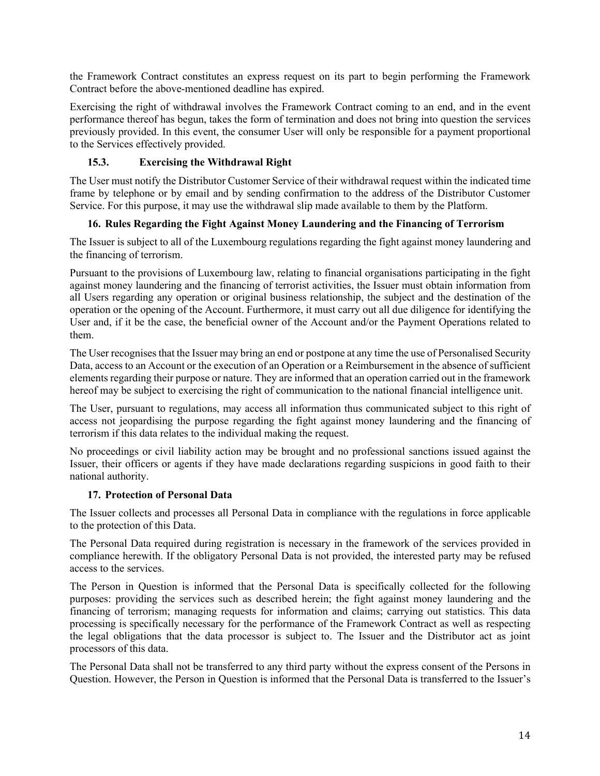the Framework Contract constitutes an express request on its part to begin performing the Framework Contract before the above-mentioned deadline has expired.

Exercising the right of withdrawal involves the Framework Contract coming to an end, and in the event performance thereof has begun, takes the form of termination and does not bring into question the services previously provided. In this event, the consumer User will only be responsible for a payment proportional to the Services effectively provided.

## **15.3. Exercising the Withdrawal Right**

The User must notify the Distributor Customer Service of their withdrawal request within the indicated time frame by telephone or by email and by sending confirmation to the address of the Distributor Customer Service. For this purpose, it may use the withdrawal slip made available to them by the Platform.

## **16. Rules Regarding the Fight Against Money Laundering and the Financing of Terrorism**

The Issuer is subject to all of the Luxembourg regulations regarding the fight against money laundering and the financing of terrorism.

Pursuant to the provisions of Luxembourg law, relating to financial organisations participating in the fight against money laundering and the financing of terrorist activities, the Issuer must obtain information from all Users regarding any operation or original business relationship, the subject and the destination of the operation or the opening of the Account. Furthermore, it must carry out all due diligence for identifying the User and, if it be the case, the beneficial owner of the Account and/or the Payment Operations related to them.

The User recognises that the Issuer may bring an end or postpone at any time the use of Personalised Security Data, access to an Account or the execution of an Operation or a Reimbursement in the absence of sufficient elements regarding their purpose or nature. They are informed that an operation carried out in the framework hereof may be subject to exercising the right of communication to the national financial intelligence unit.

The User, pursuant to regulations, may access all information thus communicated subject to this right of access not jeopardising the purpose regarding the fight against money laundering and the financing of terrorism if this data relates to the individual making the request.

No proceedings or civil liability action may be brought and no professional sanctions issued against the Issuer, their officers or agents if they have made declarations regarding suspicions in good faith to their national authority.

## **17. Protection of Personal Data**

The Issuer collects and processes all Personal Data in compliance with the regulations in force applicable to the protection of this Data.

The Personal Data required during registration is necessary in the framework of the services provided in compliance herewith. If the obligatory Personal Data is not provided, the interested party may be refused access to the services.

The Person in Question is informed that the Personal Data is specifically collected for the following purposes: providing the services such as described herein; the fight against money laundering and the financing of terrorism; managing requests for information and claims; carrying out statistics. This data processing is specifically necessary for the performance of the Framework Contract as well as respecting the legal obligations that the data processor is subject to. The Issuer and the Distributor act as joint processors of this data.

The Personal Data shall not be transferred to any third party without the express consent of the Persons in Question. However, the Person in Question is informed that the Personal Data is transferred to the Issuer's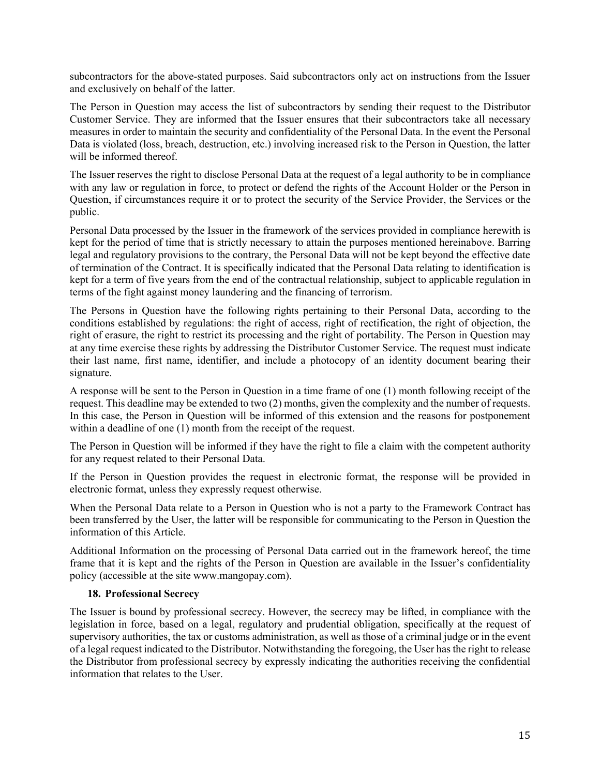subcontractors for the above-stated purposes. Said subcontractors only act on instructions from the Issuer and exclusively on behalf of the latter.

The Person in Question may access the list of subcontractors by sending their request to the Distributor Customer Service. They are informed that the Issuer ensures that their subcontractors take all necessary measures in order to maintain the security and confidentiality of the Personal Data. In the event the Personal Data is violated (loss, breach, destruction, etc.) involving increased risk to the Person in Question, the latter will be informed thereof.

The Issuer reserves the right to disclose Personal Data at the request of a legal authority to be in compliance with any law or regulation in force, to protect or defend the rights of the Account Holder or the Person in Question, if circumstances require it or to protect the security of the Service Provider, the Services or the public.

Personal Data processed by the Issuer in the framework of the services provided in compliance herewith is kept for the period of time that is strictly necessary to attain the purposes mentioned hereinabove. Barring legal and regulatory provisions to the contrary, the Personal Data will not be kept beyond the effective date of termination of the Contract. It is specifically indicated that the Personal Data relating to identification is kept for a term of five years from the end of the contractual relationship, subject to applicable regulation in terms of the fight against money laundering and the financing of terrorism.

The Persons in Question have the following rights pertaining to their Personal Data, according to the conditions established by regulations: the right of access, right of rectification, the right of objection, the right of erasure, the right to restrict its processing and the right of portability. The Person in Question may at any time exercise these rights by addressing the Distributor Customer Service. The request must indicate their last name, first name, identifier, and include a photocopy of an identity document bearing their signature.

A response will be sent to the Person in Question in a time frame of one (1) month following receipt of the request. This deadline may be extended to two (2) months, given the complexity and the number of requests. In this case, the Person in Question will be informed of this extension and the reasons for postponement within a deadline of one (1) month from the receipt of the request.

The Person in Question will be informed if they have the right to file a claim with the competent authority for any request related to their Personal Data.

If the Person in Question provides the request in electronic format, the response will be provided in electronic format, unless they expressly request otherwise.

When the Personal Data relate to a Person in Question who is not a party to the Framework Contract has been transferred by the User, the latter will be responsible for communicating to the Person in Question the information of this Article.

Additional Information on the processing of Personal Data carried out in the framework hereof, the time frame that it is kept and the rights of the Person in Question are available in the Issuer's confidentiality policy (accessible at the site www.mangopay.com).

#### **18. Professional Secrecy**

The Issuer is bound by professional secrecy. However, the secrecy may be lifted, in compliance with the legislation in force, based on a legal, regulatory and prudential obligation, specifically at the request of supervisory authorities, the tax or customs administration, as well as those of a criminal judge or in the event of a legal request indicated to the Distributor. Notwithstanding the foregoing, the User has the right to release the Distributor from professional secrecy by expressly indicating the authorities receiving the confidential information that relates to the User.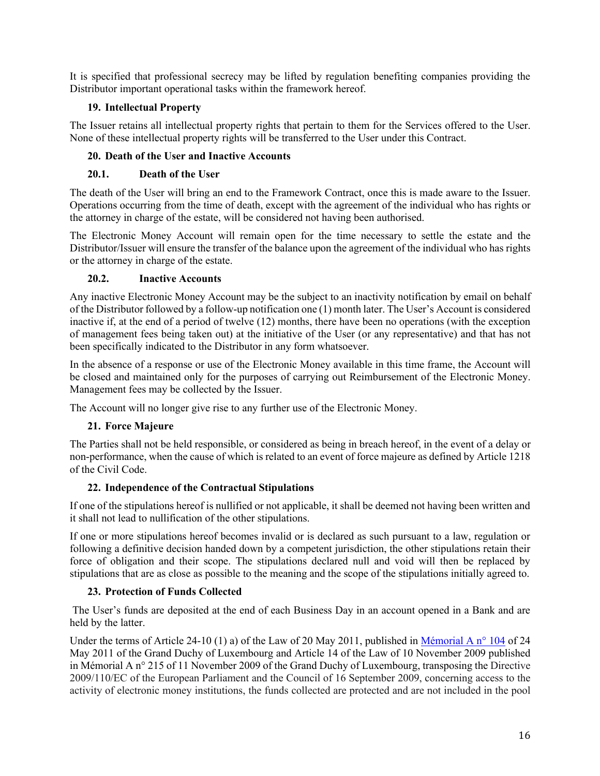It is specified that professional secrecy may be lifted by regulation benefiting companies providing the Distributor important operational tasks within the framework hereof.

## **19. Intellectual Property**

The Issuer retains all intellectual property rights that pertain to them for the Services offered to the User. None of these intellectual property rights will be transferred to the User under this Contract.

## **20. Death of the User and Inactive Accounts**

## **20.1. Death of the User**

The death of the User will bring an end to the Framework Contract, once this is made aware to the Issuer. Operations occurring from the time of death, except with the agreement of the individual who has rights or the attorney in charge of the estate, will be considered not having been authorised.

The Electronic Money Account will remain open for the time necessary to settle the estate and the Distributor/Issuer will ensure the transfer of the balance upon the agreement of the individual who has rights or the attorney in charge of the estate.

## **20.2. Inactive Accounts**

Any inactive Electronic Money Account may be the subject to an inactivity notification by email on behalf of the Distributor followed by a follow-up notification one (1) month later. The User's Account is considered inactive if, at the end of a period of twelve (12) months, there have been no operations (with the exception of management fees being taken out) at the initiative of the User (or any representative) and that has not been specifically indicated to the Distributor in any form whatsoever.

In the absence of a response or use of the Electronic Money available in this time frame, the Account will be closed and maintained only for the purposes of carrying out Reimbursement of the Electronic Money. Management fees may be collected by the Issuer.

The Account will no longer give rise to any further use of the Electronic Money.

## **21. Force Majeure**

The Parties shall not be held responsible, or considered as being in breach hereof, in the event of a delay or non-performance, when the cause of which is related to an event of force majeure as defined by Article 1218 of the Civil Code.

## **22. Independence of the Contractual Stipulations**

If one of the stipulations hereof is nullified or not applicable, it shall be deemed not having been written and it shall not lead to nullification of the other stipulations.

If one or more stipulations hereof becomes invalid or is declared as such pursuant to a law, regulation or following a definitive decision handed down by a competent jurisdiction, the other stipulations retain their force of obligation and their scope. The stipulations declared null and void will then be replaced by stipulations that are as close as possible to the meaning and the scope of the stipulations initially agreed to.

## **23. Protection of Funds Collected**

The User's funds are deposited at the end of each Business Day in an account opened in a Bank and are held by the latter.

Under the terms of Article 24-10 (1) a) of the Law of 20 May 2011, published in Mémorial A n° 104 of 24 May 2011 of the Grand Duchy of Luxembourg and Article 14 of the Law of 10 November 2009 published in Mémorial A n° 215 of 11 November 2009 of the Grand Duchy of Luxembourg, transposing the Directive 2009/110/EC of the European Parliament and the Council of 16 September 2009, concerning access to the activity of electronic money institutions, the funds collected are protected and are not included in the pool